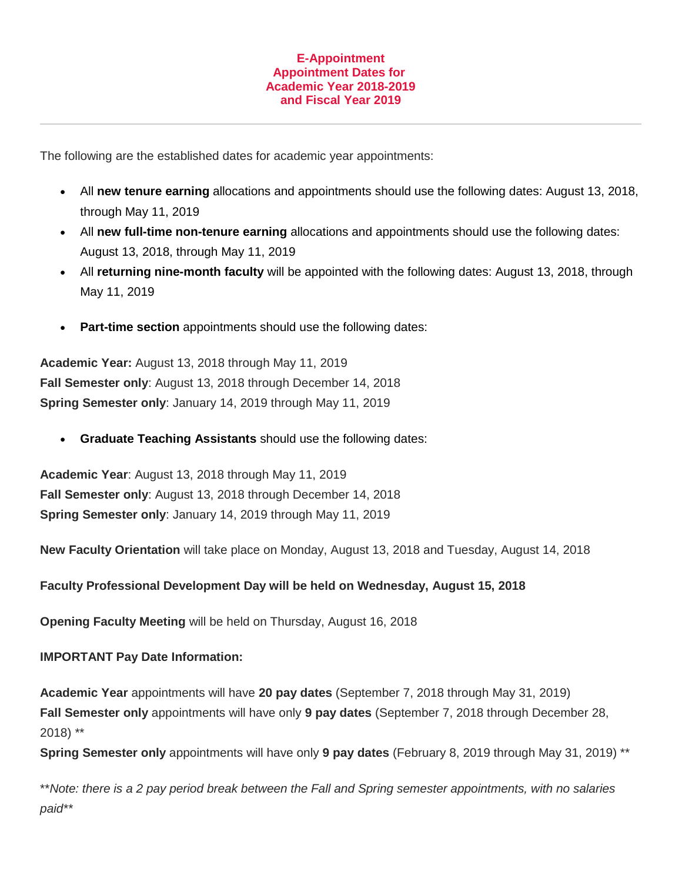## **E-Appointment Appointment Dates for Academic Year 2018-2019 and Fiscal Year 2019**

The following are the established dates for academic year appointments:

- All **new tenure earning** allocations and appointments should use the following dates: August 13, 2018, through May 11, 2019
- All **new full-time non-tenure earning** allocations and appointments should use the following dates: August 13, 2018, through May 11, 2019
- All **returning nine-month faculty** will be appointed with the following dates: August 13, 2018, through May 11, 2019
- **Part-time section** appointments should use the following dates:

**Academic Year:** August 13, 2018 through May 11, 2019 **Fall Semester only**: August 13, 2018 through December 14, 2018 **Spring Semester only**: January 14, 2019 through May 11, 2019

**Graduate Teaching Assistants** should use the following dates:

**Academic Year**: August 13, 2018 through May 11, 2019 **Fall Semester only**: August 13, 2018 through December 14, 2018 **Spring Semester only**: January 14, 2019 through May 11, 2019

**New Faculty Orientation** will take place on Monday, August 13, 2018 and Tuesday, August 14, 2018

**Faculty Professional Development Day will be held on Wednesday, August 15, 2018**

**Opening Faculty Meeting** will be held on Thursday, August 16, 2018

## **IMPORTANT Pay Date Information:**

**Academic Year** appointments will have **20 pay dates** (September 7, 2018 through May 31, 2019) **Fall Semester only** appointments will have only **9 pay dates** (September 7, 2018 through December 28, 2018) \*\*

**Spring Semester only** appointments will have only **9 pay dates** (February 8, 2019 through May 31, 2019) \*\*

\*\**Note: there is a 2 pay period break between the Fall and Spring semester appointments, with no salaries paid\*\**